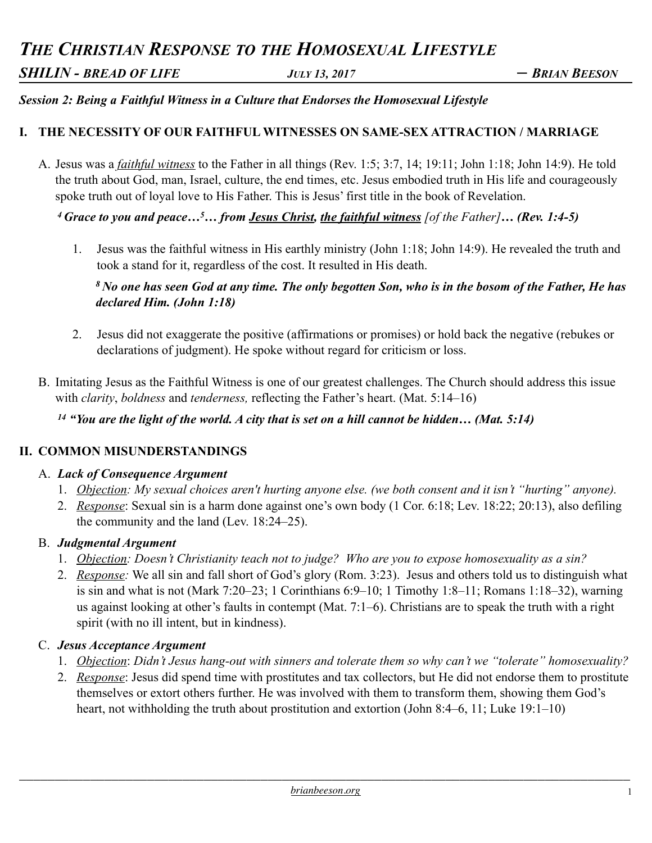# *THE CHRISTIAN RESPONSE TO THE HOMOSEXUAL LIFESTYLE*

*SHILIN - BREAD OF LIFE JULY 13, 2017 – BRIAN BEESON* 

## *Session 2: Being a Faithful Witness in a Culture that Endorses the Homosexual Lifestyle*

## **I. THE NECESSITY OF OUR FAITHFUL WITNESSES ON SAME-SEX ATTRACTION / MARRIAGE**

A. Jesus was a *faithful witness* to the Father in all things (Rev. 1:5; 3:7, 14; 19:11; John 1:18; John 14:9). He told the truth about God, man, Israel, culture, the end times, etc. Jesus embodied truth in His life and courageously spoke truth out of loyal love to His Father. This is Jesus' first title in the book of Revelation.

*4 Grace to you and peace…5… from Jesus Christ, the faithful witness [of the Father]… (Rev. 1:4-5)* 

1. Jesus was the faithful witness in His earthly ministry (John 1:18; John 14:9). He revealed the truth and took a stand for it, regardless of the cost. It resulted in His death.

*8 No one has seen God at any time. The only begotten Son, who is in the bosom of the Father, He has declared Him. (John 1:18)* 

- 2. Jesus did not exaggerate the positive (affirmations or promises) or hold back the negative (rebukes or declarations of judgment). He spoke without regard for criticism or loss.
- B. Imitating Jesus as the Faithful Witness is one of our greatest challenges. The Church should address this issue with *clarity*, *boldness* and *tenderness,* reflecting the Father's heart. (Mat. 5:14–16)

*<sup>14</sup> "You are the light of the world. A city that is set on a hill cannot be hidden… (Mat. 5:14)* 

## **II. COMMON MISUNDERSTANDINGS**

#### A. *Lack of Consequence Argument*

- 1. *Objection: My sexual choices aren't hurting anyone else. (we both consent and it isn't "hurting" anyone).*
- 2. *Response*: Sexual sin is a harm done against one's own body (1 Cor. 6:18; Lev. 18:22; 20:13), also defiling the community and the land (Lev. 18:24–25).

## B. *Judgmental Argument*

- 1. *Objection: Doesn't Christianity teach not to judge? Who are you to expose homosexuality as a sin?*
- 2. *Response:* We all sin and fall short of God's glory (Rom. 3:23). Jesus and others told us to distinguish what is sin and what is not (Mark 7:20–23; 1 Corinthians 6:9–10; 1 Timothy 1:8–11; Romans 1:18–32), warning us against looking at other's faults in contempt (Mat. 7:1–6). Christians are to speak the truth with a right spirit (with no ill intent, but in kindness).

## C. *Jesus Acceptance Argument*

- 1. *Objection*: *Didn't Jesus hang-out with sinners and tolerate them so why can't we "tolerate" homosexuality?*
- 2. *Response*: Jesus did spend time with prostitutes and tax collectors, but He did not endorse them to prostitute themselves or extort others further. He was involved with them to transform them, showing them God's heart, not withholding the truth about prostitution and extortion (John 8:4–6, 11; Luke 19:1–10)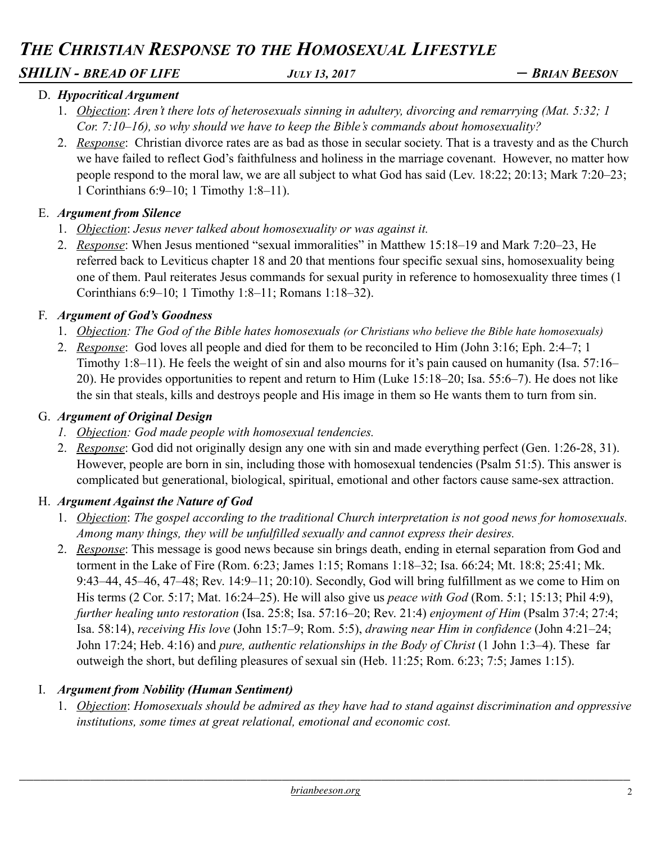## *THE CHRISTIAN RESPONSE TO THE HOMOSEXUAL LIFESTYLE*

## *SHILIN - BREAD OF LIFE JULY 13, 2017 – BRIAN BEESON*

## D. *Hypocritical Argument*

- 1. *Objection*: *Aren't there lots of heterosexuals sinning in adultery, divorcing and remarrying (Mat. 5:32; 1 Cor. 7:10–16), so why should we have to keep the Bible's commands about homosexuality?*
- 2. *Response*: Christian divorce rates are as bad as those in secular society. That is a travesty and as the Church we have failed to reflect God's faithfulness and holiness in the marriage covenant. However, no matter how people respond to the moral law, we are all subject to what God has said (Lev. 18:22; 20:13; Mark 7:20–23; 1 Corinthians 6:9–10; 1 Timothy 1:8–11).

## E. *Argument from Silence*

- 1. *Objection*: *Jesus never talked about homosexuality or was against it.*
- 2. *Response*: When Jesus mentioned "sexual immoralities" in Matthew 15:18–19 and Mark 7:20–23, He referred back to Leviticus chapter 18 and 20 that mentions four specific sexual sins, homosexuality being one of them. Paul reiterates Jesus commands for sexual purity in reference to homosexuality three times (1 Corinthians 6:9–10; 1 Timothy 1:8–11; Romans 1:18–32).

## F. *Argument of God's Goodness*

- 1. *Objection: The God of the Bible hates homosexuals (or Christians who believe the Bible hate homosexuals)*
- 2. *Response*: God loves all people and died for them to be reconciled to Him (John 3:16; Eph. 2:4–7; 1 Timothy 1:8–11). He feels the weight of sin and also mourns for it's pain caused on humanity (Isa. 57:16– 20). He provides opportunities to repent and return to Him (Luke 15:18–20; Isa. 55:6–7). He does not like the sin that steals, kills and destroys people and His image in them so He wants them to turn from sin.

## G. *Argument of Original Design*

- *1. Objection: God made people with homosexual tendencies.*
- 2. *Response*: God did not originally design any one with sin and made everything perfect (Gen. 1:26-28, 31). However, people are born in sin, including those with homosexual tendencies (Psalm 51:5). This answer is complicated but generational, biological, spiritual, emotional and other factors cause same-sex attraction.

## H. *Argument Against the Nature of God*

- 1. *Objection*: *The gospel according to the traditional Church interpretation is not good news for homosexuals. Among many things, they will be unfulfilled sexually and cannot express their desires.*
- 2. *Response*: This message is good news because sin brings death, ending in eternal separation from God and torment in the Lake of Fire (Rom. 6:23; James 1:15; Romans 1:18–32; Isa. 66:24; Mt. 18:8; 25:41; Mk. 9:43–44, 45–46, 47–48; Rev. 14:9–11; 20:10). Secondly, God will bring fulfillment as we come to Him on His terms (2 Cor. 5:17; Mat. 16:24–25). He will also give us *peace with God* (Rom. 5:1; 15:13; Phil 4:9), *further healing unto restoration* (Isa. 25:8; Isa. 57:16–20; Rev. 21:4) *enjoyment of Him* (Psalm 37:4; 27:4; Isa. 58:14), *receiving His love* (John 15:7–9; Rom. 5:5), *drawing near Him in confidence* (John 4:21–24; John 17:24; Heb. 4:16) and *pure, authentic relationships in the Body of Christ* (1 John 1:3–4). These far outweigh the short, but defiling pleasures of sexual sin (Heb. 11:25; Rom. 6:23; 7:5; James 1:15).

## I. *Argument from Nobility (Human Sentiment)*

1. *Objection*: *Homosexuals should be admired as they have had to stand against discrimination and oppressive institutions, some times at great relational, emotional and economic cost.*